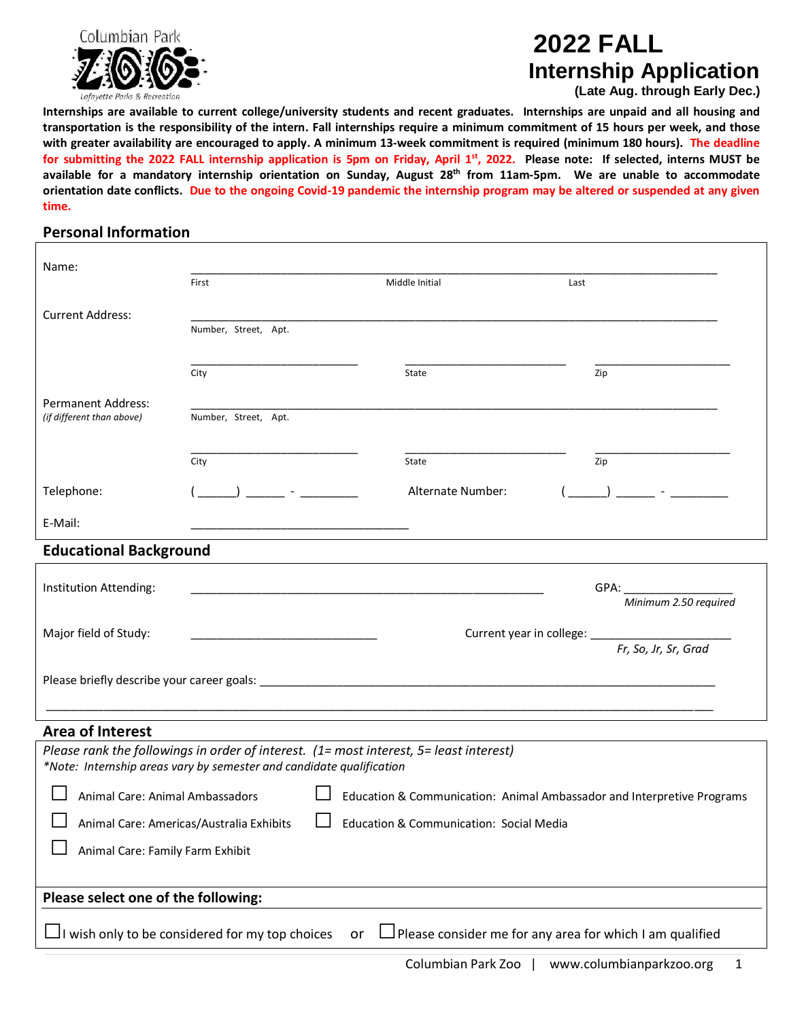

# **2022 FALL Internship Application**

**(Late Aug. through Early Dec.)**

**Internships are available to current college/university students and recent graduates. Internships are unpaid and all housing and transportation is the responsibility of the intern. Fall internships require a minimum commitment of 15 hours per week, and those with greater availability are encouraged to apply. A minimum 13-week commitment is required (minimum 180 hours). The deadline for submitting the 2022 FALL internship application is 5pm on Friday, April 1 st, 2022. Please note: If selected, interns MUST be available for a mandatory internship orientation on Sunday, August 28 th from 11am-5pm. We are unable to accommodate orientation date conflicts. Due to the ongoing Covid-19 pandemic the internship program may be altered or suspended at any given time.**

### **Personal Information**

| Name:                                                                                                                                                          |                               |                   |                                           |  |  |  |
|----------------------------------------------------------------------------------------------------------------------------------------------------------------|-------------------------------|-------------------|-------------------------------------------|--|--|--|
|                                                                                                                                                                | First                         | Middle Initial    | Last                                      |  |  |  |
| <b>Current Address:</b>                                                                                                                                        |                               |                   |                                           |  |  |  |
|                                                                                                                                                                | Number, Street, Apt.          |                   |                                           |  |  |  |
|                                                                                                                                                                |                               |                   |                                           |  |  |  |
|                                                                                                                                                                | City                          | State             | Zip                                       |  |  |  |
| <b>Permanent Address:</b>                                                                                                                                      |                               |                   |                                           |  |  |  |
| (if different than above)                                                                                                                                      | Number, Street, Apt.          |                   |                                           |  |  |  |
|                                                                                                                                                                |                               |                   |                                           |  |  |  |
|                                                                                                                                                                | City                          | State             | Zip                                       |  |  |  |
| Telephone:                                                                                                                                                     | and the state of the state of | Alternate Number: |                                           |  |  |  |
|                                                                                                                                                                |                               |                   |                                           |  |  |  |
| E-Mail:                                                                                                                                                        |                               |                   |                                           |  |  |  |
| <b>Educational Background</b>                                                                                                                                  |                               |                   |                                           |  |  |  |
| Institution Attending:                                                                                                                                         |                               |                   | GPA:                                      |  |  |  |
|                                                                                                                                                                |                               |                   | Minimum 2.50 required                     |  |  |  |
| Major field of Study:                                                                                                                                          |                               |                   | Current year in college: ________________ |  |  |  |
|                                                                                                                                                                |                               |                   | Fr, So, Jr, Sr, Grad                      |  |  |  |
|                                                                                                                                                                |                               |                   |                                           |  |  |  |
|                                                                                                                                                                |                               |                   |                                           |  |  |  |
|                                                                                                                                                                |                               |                   |                                           |  |  |  |
| <b>Area of Interest</b>                                                                                                                                        |                               |                   |                                           |  |  |  |
| Please rank the followings in order of interest. (1= most interest, 5= least interest)<br>*Note: Internship areas vary by semester and candidate qualification |                               |                   |                                           |  |  |  |
|                                                                                                                                                                |                               |                   |                                           |  |  |  |
| Education & Communication: Animal Ambassador and Interpretive Programs<br>Animal Care: Animal Ambassadors                                                      |                               |                   |                                           |  |  |  |
| Animal Care: Americas/Australia Exhibits<br>Education & Communication: Social Media                                                                            |                               |                   |                                           |  |  |  |
| Animal Care: Family Farm Exhibit                                                                                                                               |                               |                   |                                           |  |  |  |
|                                                                                                                                                                |                               |                   |                                           |  |  |  |
| Please select one of the following:                                                                                                                            |                               |                   |                                           |  |  |  |
| $\Box$ I wish only to be considered for my top choices<br>$\Box$ Please consider me for any area for which I am qualified<br>or                                |                               |                   |                                           |  |  |  |
|                                                                                                                                                                |                               |                   |                                           |  |  |  |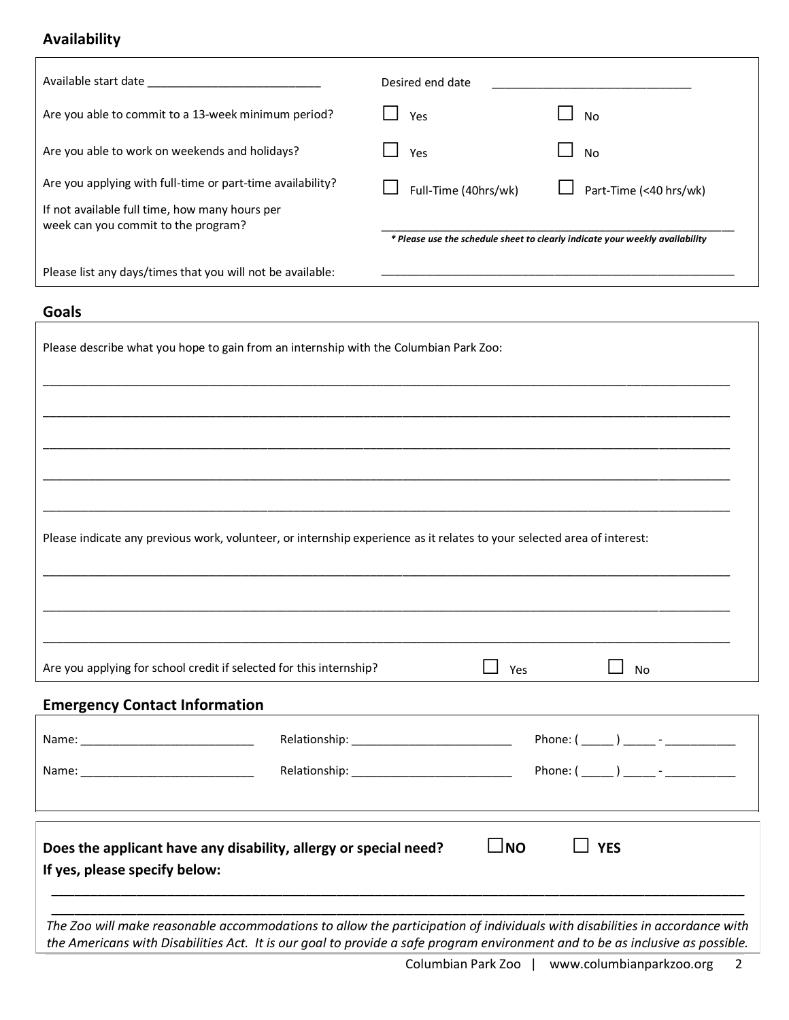## **Availability**

|                                                                                                                         | Desired end date                                                                                                                                                                                                                                            |  |  |  |
|-------------------------------------------------------------------------------------------------------------------------|-------------------------------------------------------------------------------------------------------------------------------------------------------------------------------------------------------------------------------------------------------------|--|--|--|
| Are you able to commit to a 13-week minimum period?                                                                     | Yes<br>No                                                                                                                                                                                                                                                   |  |  |  |
| Are you able to work on weekends and holidays?                                                                          | Yes<br><b>No</b>                                                                                                                                                                                                                                            |  |  |  |
| Are you applying with full-time or part-time availability?                                                              | Full-Time (40hrs/wk)<br>Part-Time (<40 hrs/wk)                                                                                                                                                                                                              |  |  |  |
| If not available full time, how many hours per<br>week can you commit to the program?                                   | * Please use the schedule sheet to clearly indicate your weekly availability                                                                                                                                                                                |  |  |  |
| Please list any days/times that you will not be available:                                                              |                                                                                                                                                                                                                                                             |  |  |  |
| <b>Goals</b>                                                                                                            |                                                                                                                                                                                                                                                             |  |  |  |
| Please describe what you hope to gain from an internship with the Columbian Park Zoo:                                   |                                                                                                                                                                                                                                                             |  |  |  |
|                                                                                                                         |                                                                                                                                                                                                                                                             |  |  |  |
|                                                                                                                         |                                                                                                                                                                                                                                                             |  |  |  |
|                                                                                                                         |                                                                                                                                                                                                                                                             |  |  |  |
| Please indicate any previous work, volunteer, or internship experience as it relates to your selected area of interest: |                                                                                                                                                                                                                                                             |  |  |  |
|                                                                                                                         |                                                                                                                                                                                                                                                             |  |  |  |
| Are you applying for school credit if selected for this internship?                                                     | Yes<br>No                                                                                                                                                                                                                                                   |  |  |  |
| <b>Emergency Contact Information</b>                                                                                    |                                                                                                                                                                                                                                                             |  |  |  |
|                                                                                                                         | Phone: ( ______ ) ______ - _____________                                                                                                                                                                                                                    |  |  |  |
|                                                                                                                         |                                                                                                                                                                                                                                                             |  |  |  |
| Does the applicant have any disability, allergy or special need?<br>If yes, please specify below:                       | $\sqcup$ NO<br><b>YES</b>                                                                                                                                                                                                                                   |  |  |  |
|                                                                                                                         | The Zoo will make reasonable accommodations to allow the participation of individuals with disabilities in accordance with<br>the Americans with Disabilities Act. It is our goal to provide a safe program environment and to be as inclusive as possible. |  |  |  |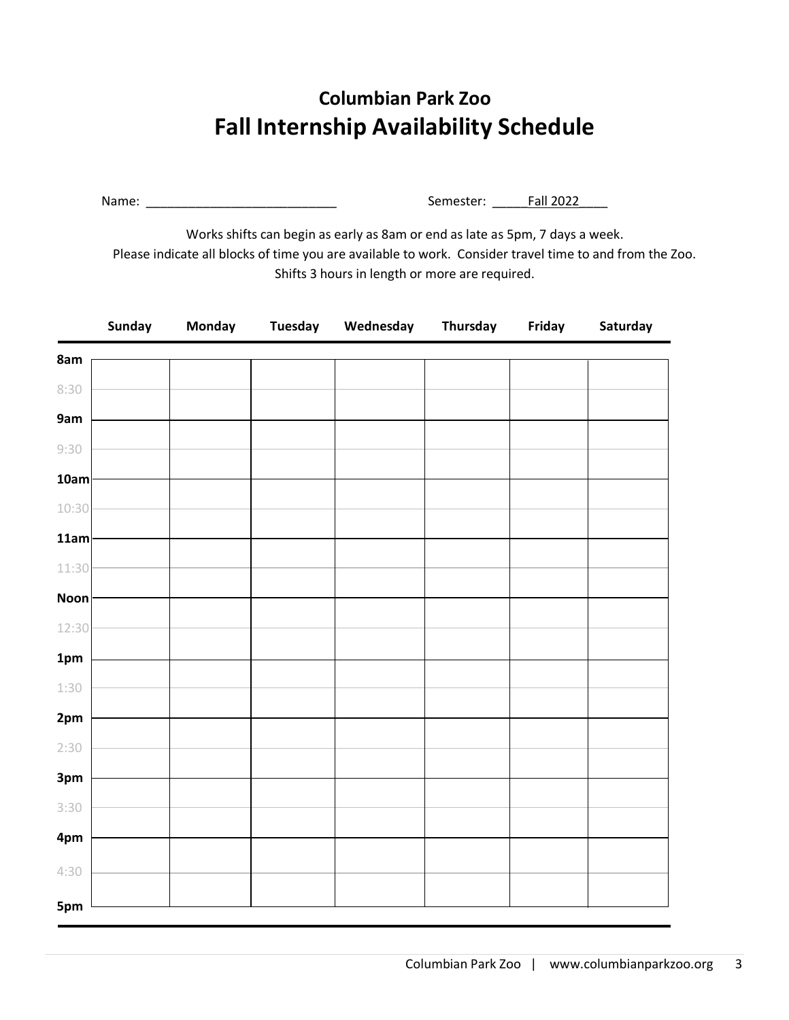## **Columbian Park Zoo Fall Internship Availability Schedule**

Name: \_\_\_\_\_\_\_\_\_\_\_\_\_\_\_\_\_\_\_\_\_\_\_\_\_\_\_ Semester: \_\_\_\_\_Fall 2022\_\_\_\_

Works shifts can begin as early as 8am or end as late as 5pm, 7 days a week. Please indicate all blocks of time you are available to work. Consider travel time to and from the Zoo. Shifts 3 hours in length or more are required.

|             | Sunday | Monday | <b>Tuesday</b> | Wednesday | Thursday | Friday | Saturday |
|-------------|--------|--------|----------------|-----------|----------|--------|----------|
| 8am         |        |        |                |           |          |        |          |
| 8:30        |        |        |                |           |          |        |          |
| 9am         |        |        |                |           |          |        |          |
| 9:30        |        |        |                |           |          |        |          |
| 10am        |        |        |                |           |          |        |          |
| 10:30       |        |        |                |           |          |        |          |
| 11am        |        |        |                |           |          |        |          |
| 11:30       |        |        |                |           |          |        |          |
| <b>Noon</b> |        |        |                |           |          |        |          |
| 12:30       |        |        |                |           |          |        |          |
| 1pm         |        |        |                |           |          |        |          |
| 1:30        |        |        |                |           |          |        |          |
| 2pm         |        |        |                |           |          |        |          |
| 2:30        |        |        |                |           |          |        |          |
| 3pm         |        |        |                |           |          |        |          |
| 3:30        |        |        |                |           |          |        |          |
| 4pm         |        |        |                |           |          |        |          |
| 4:30        |        |        |                |           |          |        |          |
|             |        |        |                |           |          |        |          |
| 5pm         |        |        |                |           |          |        |          |